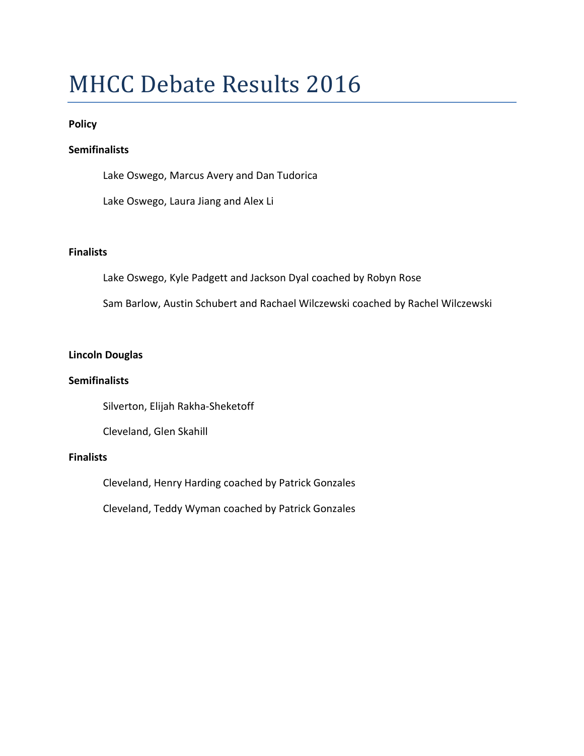# MHCC Debate Results 2016

### **Policy**

### **Semifinalists**

Lake Oswego, Marcus Avery and Dan Tudorica

Lake Oswego, Laura Jiang and Alex Li

### **Finalists**

Lake Oswego, Kyle Padgett and Jackson Dyal coached by Robyn Rose

Sam Barlow, Austin Schubert and Rachael Wilczewski coached by Rachel Wilczewski

### **Lincoln Douglas**

### **Semifinalists**

Silverton, Elijah Rakha-Sheketoff

Cleveland, Glen Skahill

### **Finalists**

Cleveland, Henry Harding coached by Patrick Gonzales

Cleveland, Teddy Wyman coached by Patrick Gonzales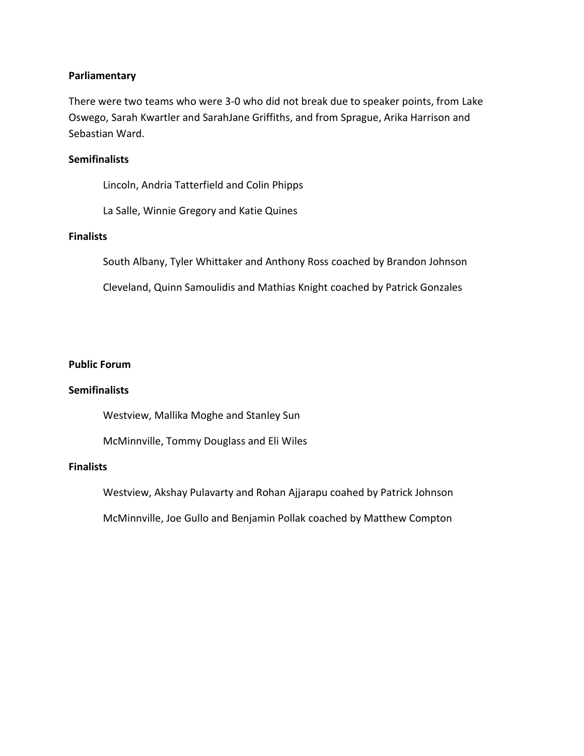### **Parliamentary**

There were two teams who were 3-0 who did not break due to speaker points, from Lake Oswego, Sarah Kwartler and SarahJane Griffiths, and from Sprague, Arika Harrison and Sebastian Ward.

### **Semifinalists**

Lincoln, Andria Tatterfield and Colin Phipps

La Salle, Winnie Gregory and Katie Quines

### **Finalists**

South Albany, Tyler Whittaker and Anthony Ross coached by Brandon Johnson

Cleveland, Quinn Samoulidis and Mathias Knight coached by Patrick Gonzales

### **Public Forum**

### **Semifinalists**

Westview, Mallika Moghe and Stanley Sun

McMinnville, Tommy Douglass and Eli Wiles

#### **Finalists**

Westview, Akshay Pulavarty and Rohan Ajjarapu coahed by Patrick Johnson McMinnville, Joe Gullo and Benjamin Pollak coached by Matthew Compton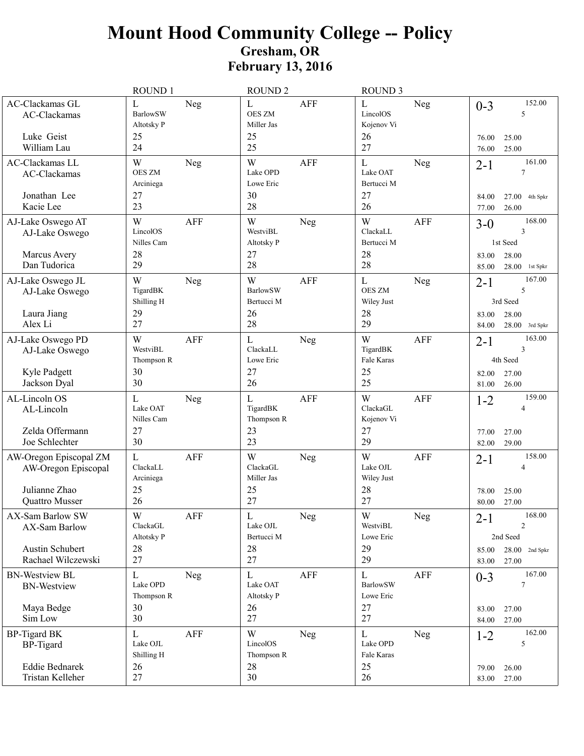|                                                                                  | <b>ROUND1</b>                                     |            | <b>ROUND 2</b>                                    |                | <b>ROUND 3</b>                                          |            |                           |                                                                   |
|----------------------------------------------------------------------------------|---------------------------------------------------|------------|---------------------------------------------------|----------------|---------------------------------------------------------|------------|---------------------------|-------------------------------------------------------------------|
| AC-Clackamas GL<br><b>AC-Clackamas</b><br>Luke Geist                             | L<br><b>BarlowSW</b><br>Altotsky P<br>25          | Neg        | $\mathbf{L}$<br><b>OES ZM</b><br>Miller Jas<br>25 | <b>AFF</b>     | $\mathbf{L}$<br>LincolOS<br>Kojenov Vi<br>26            | Neg        | $0 - 3$                   | 152.00<br>5                                                       |
| William Lau                                                                      | 24                                                |            | 25                                                |                | 27                                                      |            | 76.00<br>76.00            | 25.00<br>25.00                                                    |
| AC-Clackamas LL<br>AC-Clackamas<br>Jonathan Lee                                  | W<br><b>OES ZM</b><br>Arciniega<br>27             | Neg        | W<br>Lake OPD<br>Lowe Eric<br>30                  | <b>AFF</b>     | $\mathbf{L}$<br>Lake OAT<br>Bertucci M<br>27            | Neg        | $2 - 1$<br>84.00          | 161.00<br>7<br>$27.00$ 4th Spkr                                   |
| Kacie Lee                                                                        | 23                                                |            | 28                                                |                | 26                                                      |            | 77.00                     | 26.00                                                             |
| AJ-Lake Oswego AT<br>AJ-Lake Oswego                                              | W<br>LincolOS<br>Nilles Cam<br>28                 | <b>AFF</b> | W<br>WestviBL<br>Altotsky P<br>27                 | Neg            | W<br>ClackaLL<br>Bertucci M<br>28                       | <b>AFF</b> | $3 - 0$                   | 168.00<br>3<br>1st Seed                                           |
| Marcus Avery<br>Dan Tudorica                                                     | 29                                                |            | 28                                                |                | 28                                                      |            | 83.00<br>85.00            | 28.00<br>$28.00$ 1st Spkr                                         |
| AJ-Lake Oswego JL<br>AJ-Lake Oswego<br>Laura Jiang<br>Alex Li                    | W<br>TigardBK<br>Shilling H<br>29<br>27           | Neg        | W<br>BarlowSW<br>Bertucci M<br>26<br>28           | <b>AFF</b>     | $\mathbf{L}$<br><b>OES ZM</b><br>Wiley Just<br>28<br>29 | Neg        | $2 - 1$<br>83.00<br>84.00 | 167.00<br>5<br>3rd Seed<br>28.00<br>$28.00$ 3rd Spkr              |
| AJ-Lake Oswego PD<br>AJ-Lake Oswego                                              | W<br>WestviBL<br>Thompson R<br>30                 | <b>AFF</b> | $\mathbf L$<br>ClackaLL<br>Lowe Eric<br>27        | Neg            | W<br>TigardBK<br>Fale Karas<br>25                       | <b>AFF</b> | $2 - 1$                   | 163.00<br>3<br>4th Seed                                           |
| Kyle Padgett<br>Jackson Dyal                                                     | 30                                                |            | 26                                                |                | 25                                                      |            | 82.00<br>81.00            | 27.00<br>26.00                                                    |
| AL-Lincoln OS<br>AL-Lincoln<br>Zelda Offermann<br>Joe Schlechter                 | L<br>Lake OAT<br>Nilles Cam<br>27<br>30           | Neg        | $\mathbf L$<br>TigardBK<br>Thompson R<br>23<br>23 | <b>AFF</b>     | W<br>ClackaGL<br>Kojenov Vi<br>27<br>29                 | AFF        | $1 - 2$<br>77.00<br>82.00 | 159.00<br>4<br>27.00<br>29.00                                     |
| AW-Oregon Episcopal ZM<br>AW-Oregon Episcopal<br>Julianne Zhao<br>Quattro Musser | L<br>ClackaLL<br>Arciniega<br>25<br>26            | <b>AFF</b> | W<br>ClackaGL<br>Miller Jas<br>25<br>27           | Neg            | W<br>Lake OJL<br>Wiley Just<br>28<br>27                 | <b>AFF</b> | $2 - 1$<br>78.00<br>80.00 | 158.00<br>4<br>25.00<br>27.00                                     |
| AX-Sam Barlow SW<br>AX-Sam Barlow<br>Austin Schubert<br>Rachael Wilczewski       | $\mathbf W$<br>ClackaGL<br>Altotsky P<br>28<br>27 | AFF        | $\mathbf L$<br>Lake OJL<br>Bertucci M<br>28<br>27 | ${\hbox{Neg}}$ | $\mathbf W$<br>WestviBL<br>Lowe Eric<br>29<br>29        | Neg        | $2 - 1$<br>85.00<br>83.00 | 168.00<br>$\overline{c}$<br>2nd Seed<br>$28.00$ 2nd Spkr<br>27.00 |
| <b>BN-Westview BL</b><br><b>BN-Westview</b><br>Maya Bedge                        | L<br>Lake OPD<br>Thompson R<br>30                 | Neg        | L<br>Lake OAT<br>Altotsky P<br>26                 | AFF            | L<br><b>BarlowSW</b><br>Lowe Eric<br>27                 | AFF        | $0 - 3$<br>83.00          | 167.00<br>7<br>27.00                                              |
| Sim Low                                                                          | 30                                                |            | 27                                                |                | 27                                                      |            | 84.00                     | 27.00                                                             |
| <b>BP-Tigard BK</b><br>BP-Tigard<br><b>Eddie Bednarek</b>                        | $\mathbf L$<br>Lake OJL<br>Shilling H<br>26       | <b>AFF</b> | W<br>LincolOS<br>Thompson R<br>28                 | Neg            | $\mathbf L$<br>Lake OPD<br>Fale Karas<br>25             | Neg        | $1 - 2$<br>79.00          | 162.00<br>5<br>26.00                                              |
| Tristan Kelleher                                                                 | 27                                                |            | 30                                                |                | 26                                                      |            | 83.00                     | 27.00                                                             |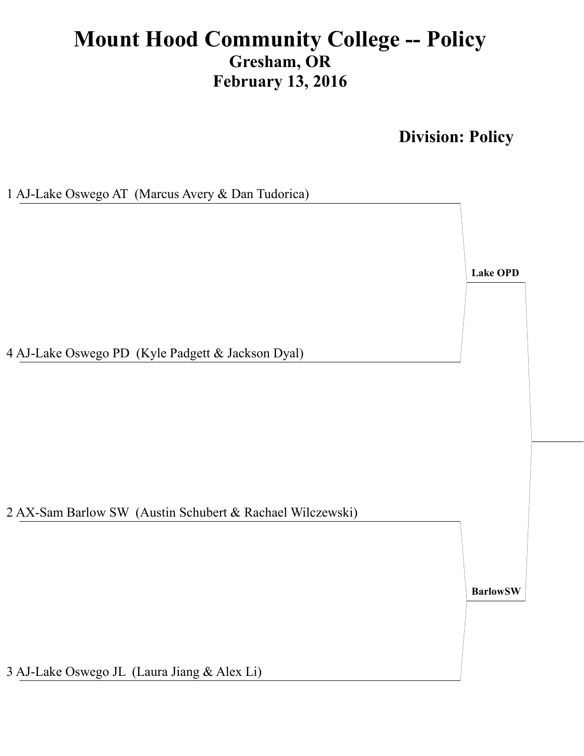**Division: Policy**

1 AJ-Lake Oswego AT (Marcus Avery & Dan Tudorica) 2 AX-Sam Barlow SW (Austin Schubert & Rachael Wilczewski) 4 AJ-Lake Oswego PD (Kyle Padgett & Jackson Dyal) **Lake OPD BarlowSW**

3 AJ-Lake Oswego JL (Laura Jiang & Alex Li)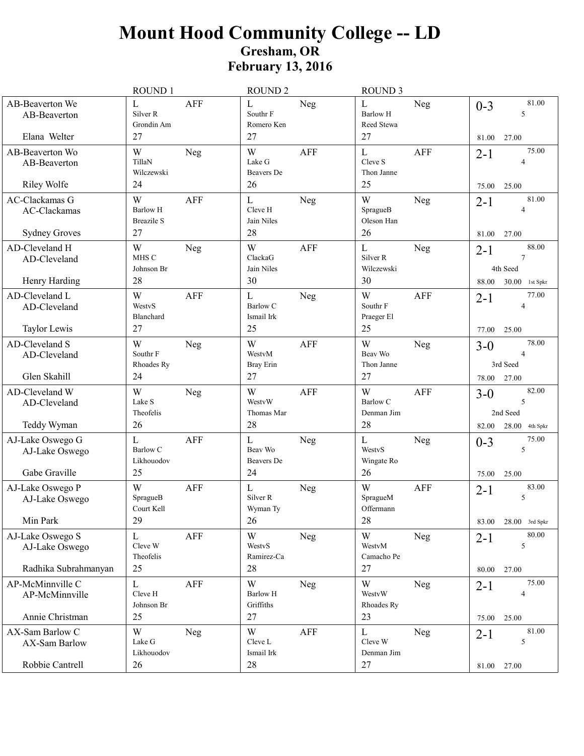|                                                            | ROUND 1                                                       | <b>ROUND 2</b>                                               | <b>ROUND 3</b>                                                        |                                                                |
|------------------------------------------------------------|---------------------------------------------------------------|--------------------------------------------------------------|-----------------------------------------------------------------------|----------------------------------------------------------------|
| AB-Beaverton We<br>AB-Beaverton<br>Elana Welter            | L<br>AFF<br>Silver <sub>R</sub><br>Grondin Am<br>27           | L<br>Neg<br>Southr F<br>Romero Ken<br>27                     | L<br>Neg<br><b>Barlow H</b><br>Reed Stewa<br>27                       | 81.00<br>$0 - 3$<br>5<br>81.00<br>27.00                        |
| AB-Beaverton Wo<br>AB-Beaverton<br><b>Riley Wolfe</b>      | W<br>Neg<br>TillaN<br>Wilczewski<br>24                        | W<br><b>AFF</b><br>Lake G<br>Beavers De<br>26                | $\mathbf{L}$<br><b>AFF</b><br>Cleve S<br>Thon Janne<br>25             | 75.00<br>$2 - 1$<br>4<br>25.00<br>75.00                        |
| AC-Clackamas G<br>AC-Clackamas<br><b>Sydney Groves</b>     | W<br><b>AFF</b><br><b>Barlow H</b><br><b>Breazile S</b><br>27 | $\mathbf L$<br>Neg<br>Cleve H<br>Jain Niles<br>28            | W<br><b>Neg</b><br>SpragueB<br>Oleson Han<br>26                       | 81.00<br>$2 - 1$<br>4<br>27.00<br>81.00                        |
| AD-Cleveland H<br>AD-Cleveland<br>Henry Harding            | W<br>Neg<br>MHS C<br>Johnson Br<br>28                         | W<br><b>AFF</b><br>ClackaG<br>Jain Niles<br>30               | $\mathbf{L}$<br><b>Neg</b><br>Silver <sub>R</sub><br>Wilczewski<br>30 | 88.00<br>$2 - 1$<br>7<br>4th Seed<br>$30.00$ 1st Spkr<br>88.00 |
| AD-Cleveland L<br>AD-Cleveland<br>Taylor Lewis             | W<br><b>AFF</b><br>WestvS<br>Blanchard<br>27                  | L<br>Neg<br>Barlow C<br>Ismail Irk<br>25                     | W<br><b>AFF</b><br>Southr F<br>Praeger El<br>25                       | 77.00<br>$2 - 1$<br>4<br>25.00<br>77.00                        |
| AD-Cleveland S<br>AD-Cleveland<br>Glen Skahill             | W<br>Neg<br>Southr F<br>Rhoades Ry<br>24                      | W<br><b>AFF</b><br>WestvM<br><b>Bray Erin</b><br>27          | W<br><b>Neg</b><br>Beav Wo<br>Thon Janne<br>27                        | 78.00<br>$3-0$<br>4<br>3rd Seed<br>27.00<br>78.00              |
| AD-Cleveland W<br>AD-Cleveland<br>Teddy Wyman              | W<br>Neg<br>Lake S<br>Theofelis<br>26                         | W<br><b>AFF</b><br>WestvW<br>Thomas Mar<br>28                | W<br><b>AFF</b><br>Barlow C<br>Denman Jim<br>28                       | 82.00<br>$3-0$<br>5<br>2nd Seed<br>$28.00$ 4th Spkr<br>82.00   |
| AJ-Lake Oswego G<br>AJ-Lake Oswego<br>Gabe Graville        | L<br><b>AFF</b><br>Barlow C<br>Likhouodov<br>25               | $\mathbf{L}$<br>Neg<br>Beav Wo<br><b>Beavers</b> De<br>24    | $\mathbf{L}$<br>Neg<br>WestvS<br>Wingate Ro<br>26                     | 75.00<br>$0 - 3$<br>5<br>25.00<br>75.00                        |
| AJ-Lake Oswego P<br>AJ-Lake Oswego<br>Min Park             | W<br><b>AFF</b><br>SpragueB<br>Court Kell<br>29               | $\mathbf{L}$<br>Neg<br>Silver <sub>R</sub><br>Wyman Ty<br>26 | W<br><b>AFF</b><br>SpragueM<br>Offermann<br>28                        | 83.00<br>$2 - 1$<br>5<br>83.00<br>$28.00$ 3rd Spkr             |
| AJ-Lake Oswego S<br>AJ-Lake Oswego<br>Radhika Subrahmanyan | <b>AFF</b><br>L<br>Cleve W<br>Theofelis<br>25                 | W<br>Neg<br>WestvS<br>Ramirez-Ca<br>28                       | W<br><b>Neg</b><br>WestvM<br>Camacho Pe<br>27                         | 80.00<br>$2 - 1$<br>5<br>27.00<br>80.00                        |
| AP-McMinnville C<br>AP-McMinnville<br>Annie Christman      | $\mathbf{L}$<br>AFF<br>Cleve H<br>Johnson Br<br>25            | W<br>Neg<br><b>Barlow H</b><br>Griffiths<br>27               | W<br>Neg<br>WestvW<br>Rhoades Ry<br>23                                | 75.00<br>$2 - 1$<br>4<br>25.00<br>75.00                        |
| AX-Sam Barlow C<br>AX-Sam Barlow<br>Robbie Cantrell        | W<br>Neg<br>Lake G<br>Likhouodov<br>26                        | W<br>AFF<br>Cleve L<br>Ismail Irk<br>$28\,$                  | L<br>Neg<br>Cleve W<br>Denman Jim<br>27                               | 81.00<br>$2 - 1$<br>$\sqrt{5}$<br>81.00 27.00                  |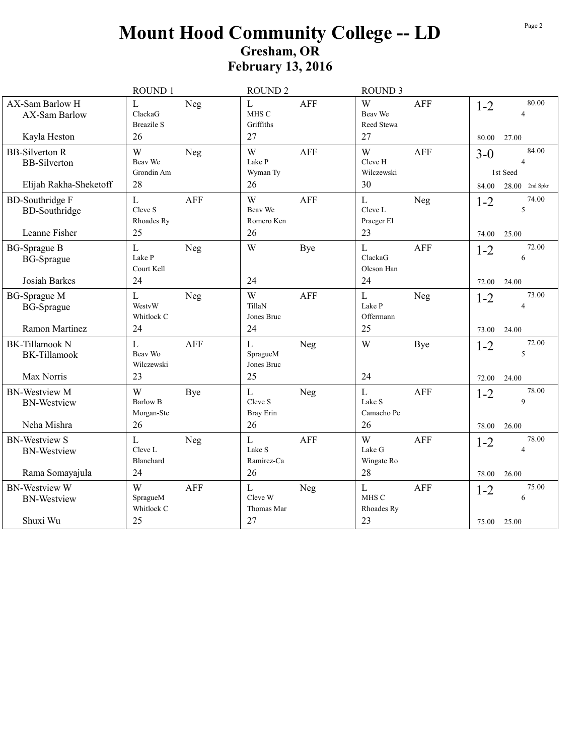|                                                                        | <b>ROUND1</b>                            |            | <b>ROUND 2</b>                               |            | <b>ROUND 3</b>                              |            |                  |                                                          |
|------------------------------------------------------------------------|------------------------------------------|------------|----------------------------------------------|------------|---------------------------------------------|------------|------------------|----------------------------------------------------------|
| AX-Sam Barlow H<br>AX-Sam Barlow                                       | L<br>ClackaG<br><b>Breazile S</b>        | Neg        | $\mathbf{L}$<br>MHS C<br>Griffiths           | <b>AFF</b> | W<br>Beav We<br>Reed Stewa                  | <b>AFF</b> | $1 - 2$          | 80.00<br>$\overline{4}$                                  |
| Kayla Heston                                                           | 26                                       |            | 27                                           |            | 27                                          |            | 80.00            | 27.00                                                    |
| <b>BB-Silverton R</b><br><b>BB-Silverton</b><br>Elijah Rakha-Sheketoff | W<br>Beav We<br>Grondin Am<br>28         | Neg        | W<br>Lake P<br>Wyman Ty<br>26                | <b>AFF</b> | W<br>Cleve H<br>Wilczewski<br>30            | <b>AFF</b> | $3-0$<br>84.00   | 84.00<br>$\overline{4}$<br>1st Seed<br>28.00<br>2nd Spkr |
| <b>BD-Southridge F</b><br><b>BD-Southridge</b><br>Leanne Fisher        | L<br>Cleve S<br>Rhoades Ry<br>25         | <b>AFF</b> | W<br><b>Beav</b> We<br>Romero Ken<br>26      | <b>AFF</b> | $\mathbf{L}$<br>Cleve L<br>Praeger El<br>23 | Neg        | $1 - 2$<br>74.00 | 74.00<br>5<br>25.00                                      |
| <b>BG-Sprague B</b><br><b>BG-Sprague</b><br>Josiah Barkes              | L<br>Lake P<br>Court Kell<br>24          | Neg        | W<br>24                                      | <b>Bye</b> | $\mathbf{L}$<br>ClackaG<br>Oleson Han<br>24 | <b>AFF</b> | $1 - 2$<br>72.00 | 72.00<br>6<br>24.00                                      |
| <b>BG-Sprague M</b><br><b>BG-Sprague</b><br>Ramon Martinez             | L<br>WestvW<br>Whitlock C<br>24          | Neg        | W<br>TillaN<br>Jones Bruc<br>24              | <b>AFF</b> | $\mathbf{L}$<br>Lake P<br>Offermann<br>25   | <b>Neg</b> | $1 - 2$<br>73.00 | 73.00<br>$\overline{4}$<br>24.00                         |
| <b>BK-Tillamook N</b><br><b>BK-Tillamook</b><br>Max Norris             | L<br>Beav Wo<br>Wilczewski<br>23         | <b>AFF</b> | $\mathbf{L}$<br>SpragueM<br>Jones Bruc<br>25 | Neg        | W<br>24                                     | <b>Bye</b> | $1 - 2$<br>72.00 | 72.00<br>5<br>24.00                                      |
| <b>BN-Westview M</b><br><b>BN-Westview</b><br>Neha Mishra              | W<br><b>Barlow B</b><br>Morgan-Ste<br>26 | Bye        | $\mathbf{L}$<br>Cleve S<br>Bray Erin<br>26   | <b>Neg</b> | $\mathbf{L}$<br>Lake S<br>Camacho Pe<br>26  | <b>AFF</b> | $1 - 2$<br>78.00 | 78.00<br>$\mathbf{Q}$<br>26.00                           |
| <b>BN-Westview S</b><br><b>BN-Westview</b>                             | L<br>Cleve L<br>Blanchard                | Neg        | L<br>Lake S<br>Ramirez-Ca                    | <b>AFF</b> | W<br>Lake G<br>Wingate Ro                   | <b>AFF</b> | $1 - 2$          | 78.00<br>$\overline{4}$                                  |
| Rama Somayajula                                                        | 24                                       |            | 26                                           |            | 28                                          |            | 78.00            | 26.00                                                    |
| <b>BN-Westview W</b><br><b>BN-Westview</b>                             | W<br>SpragueM<br>Whitlock C              | <b>AFF</b> | L<br>Cleve W<br>Thomas Mar                   | Neg        | L<br>MHS C<br>Rhoades Ry                    | <b>AFF</b> | $1 - 2$          | 75.00<br>6                                               |
| Shuxi Wu                                                               | 25                                       |            | 27                                           |            | 23                                          |            | 75.00            | 25.00                                                    |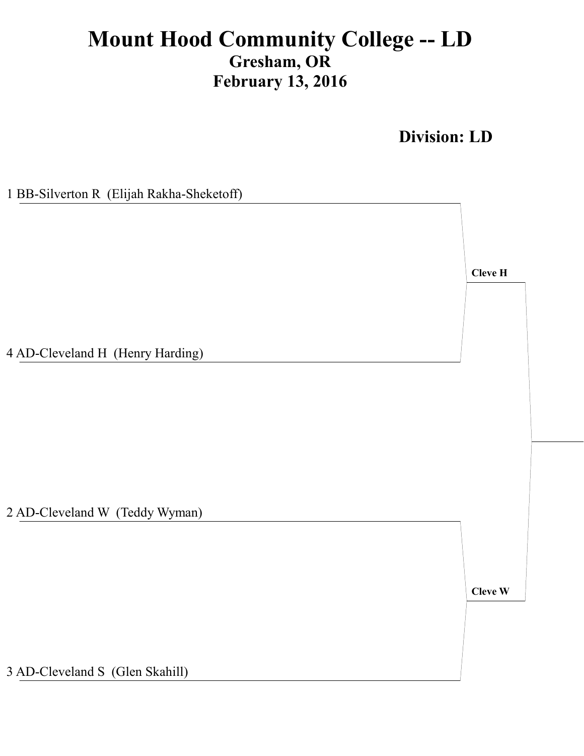**Division: LD** 

1 BB-Silverton R (Elijah Rakha-Sheketoff) **Cleve H** 4 AD-Cleveland H (Henry Harding) 2 AD-Cleveland W (Teddy Wyman) Cleve W

3 AD-Cleveland S (Glen Skahill)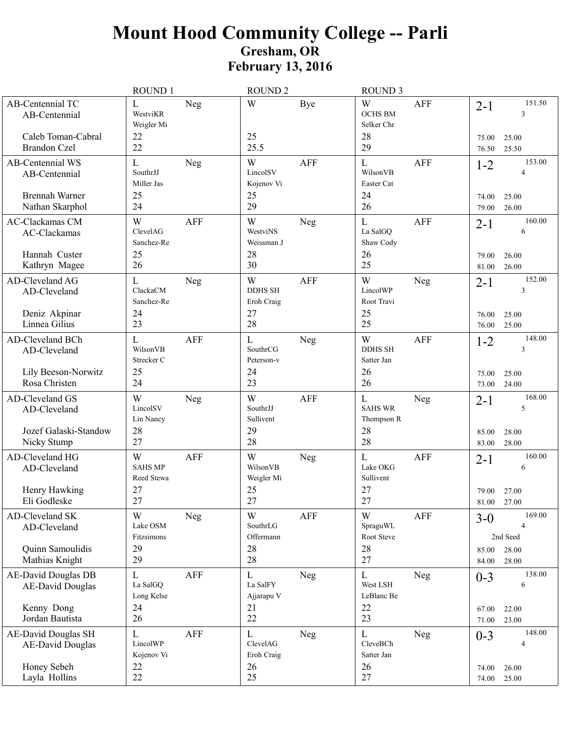|                                                                                      | <b>ROUND1</b>                                 |                | <b>ROUND 2</b>                                               |             | <b>ROUND 3</b>                                           |            |                           |                                                        |
|--------------------------------------------------------------------------------------|-----------------------------------------------|----------------|--------------------------------------------------------------|-------------|----------------------------------------------------------|------------|---------------------------|--------------------------------------------------------|
| AB-Centennial TC<br>AB-Centennial<br>Caleb Toman-Cabral<br><b>Brandon Czel</b>       | L<br>WestviKR<br>Weigler Mi<br>22<br>22       | Neg            | W<br>25<br>25.5                                              | Bye         | W<br><b>OCHS BM</b><br>Selker Chr<br>28<br>29            | <b>AFF</b> | $2 - 1$<br>75.00<br>76.50 | 151.50<br>3<br>25.00<br>25.50                          |
| <b>AB-Centennial WS</b><br>AB-Centennial<br><b>Brennah Warner</b><br>Nathan Skarphol | L<br>SouthrJJ<br>Miller Jas<br>25<br>24       | Neg            | W<br>LincolSV<br>Kojenov Vi<br>25<br>29                      | <b>AFF</b>  | L<br>WilsonVB<br>Easter Cat<br>24<br>26                  | <b>AFF</b> | $1 - 2$<br>74.00<br>79.00 | 153.00<br>4<br>25.00<br>26.00                          |
| <b>AC-Clackamas CM</b><br>AC-Clackamas<br>Hannah Custer<br>Kathryn Magee             | W<br>ClevelAG<br>Sanchez-Re<br>25<br>26       | <b>AFF</b>     | W<br>WestviNS<br>Weissman J<br>28<br>30                      | Neg         | $\mathbf{L}$<br>La SalGQ<br>Shaw Cody<br>26<br>25        | <b>AFF</b> | $2 - 1$<br>79.00<br>81.00 | 160.00<br>6<br>26.00<br>26.00                          |
| AD-Cleveland AG<br>AD-Cleveland<br>Deniz Akpinar<br>Linnea Gilius                    | L<br>ClackaCM<br>Sanchez-Re<br>24<br>23       | Neg            | W<br><b>DDHS SH</b><br>Eroh Craig<br>27<br>28                | <b>AFF</b>  | W<br>LincolWP<br>Root Travi<br>25<br>25                  | Neg        | $2 - 1$<br>76.00<br>76.00 | 152.00<br>3<br>25.00<br>25.00                          |
| AD-Cleveland BCh<br>AD-Cleveland<br>Lily Beeson-Norwitz                              | L<br>WilsonVB<br>Strecker C<br>25             | <b>AFF</b>     | $\mathbf L$<br>SouthrCG<br>Peterson-v<br>24                  | Neg         | W<br><b>DDHS SH</b><br>Satter Jan<br>26                  | <b>AFF</b> | $1 - 2$<br>75.00          | 148.00<br>3<br>25.00                                   |
| Rosa Christen                                                                        | 24                                            |                | 23                                                           |             | 26                                                       |            | 73.00                     | 24.00                                                  |
| AD-Cleveland GS<br>AD-Cleveland<br>Jozef Galaski-Standow<br>Nicky Stump              | W<br>LincolSV<br>Lin Nancy<br>28<br>27        | Neg            | W<br>SouthrJJ<br>Sullivent<br>29<br>28                       | <b>AFF</b>  | $\mathbf{L}$<br><b>SAHS WR</b><br>Thompson R<br>28<br>28 | Neg        | $2 - 1$<br>85.00<br>83.00 | 168.00<br>5<br>28.00<br>28.00                          |
| AD-Cleveland HG<br>AD-Cleveland<br>Henry Hawking<br>Eli Godleske                     | W<br><b>SAHS MP</b><br>Reed Stewa<br>27<br>27 | <b>AFF</b>     | W<br>WilsonVB<br>Weigler Mi<br>25<br>27                      | Neg         | L<br>Lake OKG<br>Sullivent<br>27<br>27                   | AFF        | $2 - 1$<br>79.00<br>81.00 | 160.00<br>6<br>27.00<br>27.00                          |
| AD-Cleveland SK<br>AD-Cleveland<br>Quinn Samoulidis<br>Mathias Knight                | W<br>Lake OSM<br>Fitzsimons<br>29<br>29       | ${\hbox{Neg}}$ | $\ensuremath{\text{W}}$<br>SouthrLG<br>Offermann<br>28<br>28 | ${\sf AFF}$ | W<br>SpraguWL<br>Root Steve<br>28<br>27                  | AFF        | $3-0$<br>85.00<br>84.00   | 169.00<br>$\overline{4}$<br>2nd Seed<br>28.00<br>28.00 |
| AE-David Douglas DB<br>AE-David Douglas<br>Kenny Dong<br>Jordan Bautista             | L<br>La SalGQ<br>Long Kelse<br>24<br>26       | AFF            | L<br>La SalFY<br>Ajjarapu V<br>21<br>22                      | Neg         | $\mathbf{L}$<br>West LSH<br>LeBlanc Be<br>22<br>23       | <b>Neg</b> | $0 - 3$<br>67.00<br>71.00 | 138.00<br>6<br>22.00<br>23.00                          |
| AE-David Douglas SH<br><b>AE-David Douglas</b><br>Honey Sebeh<br>Layla Hollins       | L<br>LincolWP<br>Kojenov Vi<br>$22\,$<br>22   | AFF            | $\mathbf L$<br>ClevelAG<br>Eroh Craig<br>26<br>25            | Neg         | L<br>CleveBCh<br>Satter Jan<br>26<br>27                  | Neg        | $0 - 3$<br>74.00<br>74.00 | 148.00<br>4<br>26.00<br>25.00                          |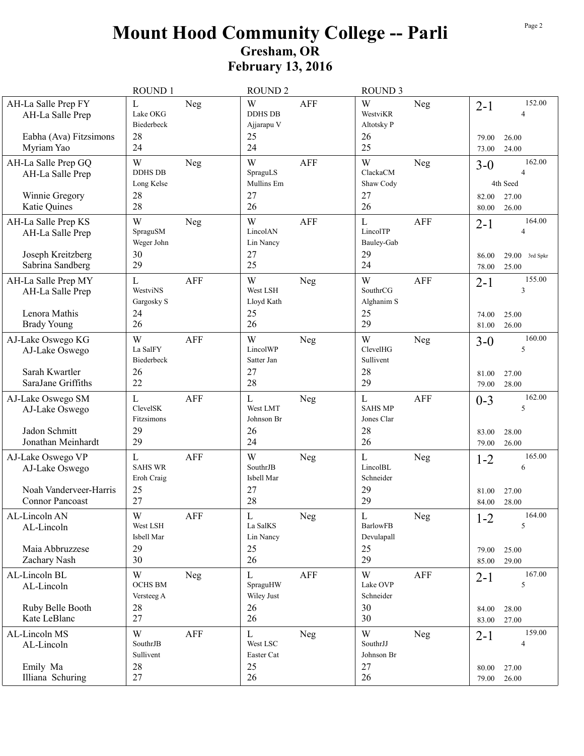|                                                          | <b>ROUND1</b>                                     |            | <b>ROUND 2</b>                         |                | <b>ROUND 3</b>                               |                |                  |                                      |
|----------------------------------------------------------|---------------------------------------------------|------------|----------------------------------------|----------------|----------------------------------------------|----------------|------------------|--------------------------------------|
| AH-La Salle Prep FY<br>AH-La Salle Prep                  | $\mathbf L$<br>Lake OKG<br>Biederbeck             | Neg        | W<br><b>DDHS DB</b><br>Ajjarapu V      | <b>AFF</b>     | W<br>WestviKR<br>Altotsky P                  | <b>Neg</b>     | $2 - 1$          | 152.00<br>$\boldsymbol{\Delta}$      |
| Eabha (Ava) Fitzsimons<br>Myriam Yao                     | 28<br>24                                          |            | 25<br>24                               |                | 26<br>25                                     |                | 79.00<br>73.00   | 26.00<br>24.00                       |
| AH-La Salle Prep GQ<br>AH-La Salle Prep                  | W<br><b>DDHS DB</b>                               | Neg        | W<br>SpraguLS<br>Mullins Em            | <b>AFF</b>     | W<br>ClackaCM                                | <b>Neg</b>     | $3 - 0$          | 162.00<br>$\overline{4}$<br>4th Seed |
| Winnie Gregory<br>Katie Quines                           | Long Kelse<br>28<br>28                            |            | 27<br>26                               |                | Shaw Cody<br>27<br>26                        |                | 82.00<br>80.00   | 27.00<br>26.00                       |
| AH-La Salle Prep KS<br>AH-La Salle Prep                  | W<br>SpraguSM<br>Weger John                       | Neg        | W<br>LincolAN<br>Lin Nancy             | <b>AFF</b>     | L<br>LincolTP<br>Bauley-Gab                  | <b>AFF</b>     | $2 - 1$          | 164.00<br>$\overline{4}$             |
| Joseph Kreitzberg<br>Sabrina Sandberg                    | 30<br>29                                          |            | 27<br>25                               |                | 29<br>24                                     |                | 86.00<br>78.00   | $29.00$ 3rd Spkr<br>25.00            |
| AH-La Salle Prep MY<br>AH-La Salle Prep<br>Lenora Mathis | $\mathbf{L}$<br>WestviNS<br>Gargosky S<br>24      | <b>AFF</b> | W<br>West LSH<br>Lloyd Kath<br>25      | Neg            | W<br>SouthrCG<br>Alghanim S<br>25            | AFF            | $2 - 1$<br>74.00 | 155.00<br>3<br>25.00                 |
| <b>Brady Young</b>                                       | 26                                                |            | 26                                     |                | 29                                           |                | 81.00            | 26.00                                |
| AJ-Lake Oswego KG<br>AJ-Lake Oswego                      | W<br>La SalFY<br>Biederbeck                       | <b>AFF</b> | W<br>LincolWP<br>Satter Jan            | Neg            | W<br>ClevelHG<br>Sullivent                   | <b>Neg</b>     | $3 - 0$          | 160.00<br>5                          |
| Sarah Kwartler<br>SaraJane Griffiths                     | 26<br>22                                          |            | 27<br>28                               |                | 28<br>29                                     |                | 81.00<br>79.00   | 27.00<br>28.00                       |
| AJ-Lake Oswego SM<br>AJ-Lake Oswego                      | $\mathbf{L}$<br>ClevelSK<br>Fitzsimons            | <b>AFF</b> | $\mathbf{L}$<br>West LMT<br>Johnson Br | Neg            | $\mathbf L$<br><b>SAHS MP</b><br>Jones Clar  | AFF            | $0 - 3$          | 162.00<br>5                          |
| Jadon Schmitt<br>Jonathan Meinhardt                      | 29<br>29                                          |            | 26<br>24                               |                | 28<br>26                                     |                | 83.00<br>79.00   | 28.00<br>26.00                       |
| AJ-Lake Oswego VP<br>AJ-Lake Oswego                      | $\mathbf{L}$<br><b>SAHS WR</b><br>Eroh Craig      | <b>AFF</b> | W<br>SouthrJB<br>Isbell Mar            | <b>Neg</b>     | L<br>LincolBL<br>Schneider                   | Neg            | $1 - 2$          | 165.00<br>6                          |
| Noah Vanderveer-Harris<br>Connor Pancoast                | 25<br>27                                          |            | 27<br>28                               |                | 29<br>29                                     |                | 81.00<br>84.00   | 27.00<br>28.00                       |
| AL-Lincoln AN<br>AL-Lincoln                              | $\ensuremath{\text{W}}$<br>West LSH<br>Isbell Mar | AFF        | $\mathbf L$<br>La SalKS<br>Lin Nancy   | ${\hbox{Neg}}$ | $\mathbf L$<br><b>BarlowFB</b><br>Devulapall | ${\hbox{Neg}}$ | $1 - 2$          | 164.00<br>5                          |
| Maia Abbruzzese<br>Zachary Nash                          | 29<br>30                                          |            | 25<br>26                               |                | 25<br>29                                     |                | 79.00<br>85.00   | 25.00<br>29.00                       |
| AL-Lincoln BL<br>AL-Lincoln                              | W<br>OCHS BM<br>Versteeg A                        | Neg        | L<br>SpraguHW<br>Wiley Just            | AFF            | W<br>Lake OVP<br>Schneider                   | AFF            | $2 - 1$          | 167.00<br>5                          |
| Ruby Belle Booth<br>Kate LeBlanc                         | 28<br>27                                          |            | 26<br>26                               |                | 30<br>30                                     |                | 84.00<br>83.00   | 28.00<br>27.00                       |
| AL-Lincoln MS<br>AL-Lincoln                              | W<br>SouthrJB                                     | <b>AFF</b> | $\mathbf L$<br>West LSC                | Neg            | W<br>SouthrJJ                                | <b>Neg</b>     | $2-1$            | 159.00<br>$\overline{4}$             |
|                                                          | Sullivent                                         |            | Easter Cat                             |                | Johnson Br                                   |                |                  |                                      |
| Emily Ma<br>Illiana Schuring                             | $28\,$<br>27                                      |            | 25<br>26                               |                | 27<br>26                                     |                | 80.00<br>79.00   | 27.00<br>26.00                       |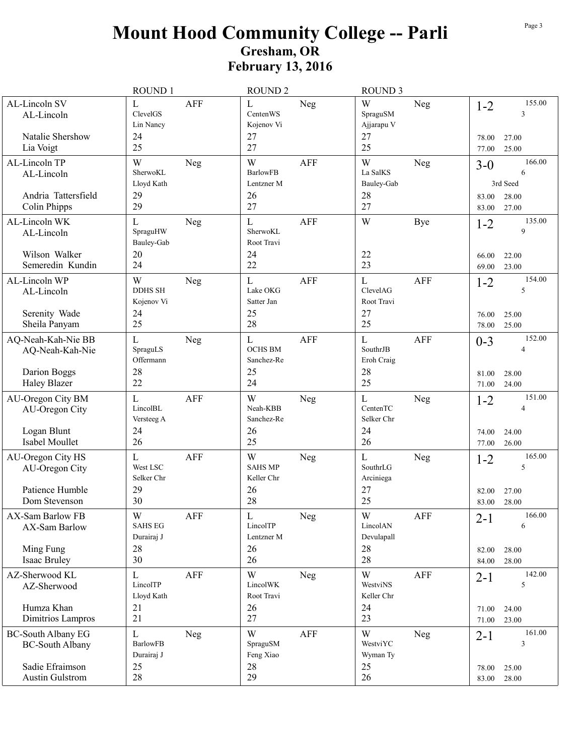|                                                                                                  | <b>ROUND1</b>                                                              | <b>ROUND2</b>                                                | <b>ROUND 3</b>                                                       |                                                                         |
|--------------------------------------------------------------------------------------------------|----------------------------------------------------------------------------|--------------------------------------------------------------|----------------------------------------------------------------------|-------------------------------------------------------------------------|
| AL-Lincoln SV<br>AL-Lincoln<br>Natalie Shershow<br>Lia Voigt                                     | L<br><b>AFF</b><br>ClevelGS<br>Lin Nancy<br>24<br>25                       | L<br>Neg<br>CentenWS<br>Kojenov Vi<br>27<br>27               | W<br>Neg<br>SpraguSM<br>Ajjarapu V<br>27<br>25                       | 155.00<br>$1 - 2$<br>3<br>27.00<br>78.00<br>25.00<br>77.00              |
| AL-Lincoln TP<br>AL-Lincoln<br>Andria Tattersfield<br>Colin Phipps                               | W<br>Neg<br>SherwoKL<br>Lloyd Kath<br>29<br>29                             | W<br><b>AFF</b><br><b>BarlowFB</b><br>Lentzner M<br>26<br>27 | W<br>Neg<br>La SalKS<br>Bauley-Gab<br>28<br>27                       | 166.00<br>$3-0$<br>6<br>3rd Seed<br>28.00<br>83.00<br>27.00<br>83.00    |
| AL-Lincoln WK<br>AL-Lincoln<br>Wilson Walker<br>Semeredin Kundin                                 | $\mathbf L$<br>Neg<br>SpraguHW<br>Bauley-Gab<br>20<br>24                   | L<br>AFF<br>SherwoKL<br>Root Travi<br>24<br>22               | W<br>Bye<br>22<br>23                                                 | 135.00<br>$1 - 2$<br>9<br>22.00<br>66.00<br>23.00<br>69.00              |
| AL-Lincoln WP<br>AL-Lincoln<br>Serenity Wade<br>Sheila Panyam                                    | W<br>Neg<br><b>DDHS SH</b><br>Kojenov Vi<br>24<br>25                       | L<br>AFF<br>Lake OKG<br>Satter Jan<br>25<br>28               | $\mathbf L$<br><b>AFF</b><br>ClevelAG<br>Root Travi<br>27<br>25      | 154.00<br>$1 - 2$<br>5<br>25.00<br>76.00<br>25.00<br>78.00              |
| AQ-Neah-Kah-Nie BB<br>AQ-Neah-Kah-Nie<br>Darion Boggs<br><b>Haley Blazer</b>                     | $\mathbf L$<br>Neg<br>SpraguLS<br>Offermann<br>28<br>22                    | L<br><b>AFF</b><br><b>OCHS BM</b><br>Sanchez-Re<br>25<br>24  | $\mathbf L$<br>AFF<br>SouthrJB<br>Eroh Craig<br>28<br>25             | 152.00<br>$0 - 3$<br>$\overline{4}$<br>81.00<br>28.00<br>71.00<br>24.00 |
| AU-Oregon City BM<br>AU-Oregon City<br>Logan Blunt<br>Isabel Moullet                             | L<br><b>AFF</b><br>LincolBL<br>Versteeg A<br>24<br>26                      | W<br>Neg<br>Neah-KBB<br>Sanchez-Re<br>26<br>25               | <b>Neg</b><br>L<br>CentenTC<br>Selker Chr<br>24<br>26                | 151.00<br>$1 - 2$<br>$\overline{4}$<br>74.00<br>24.00<br>26.00<br>77.00 |
| <b>AU-Oregon City HS</b><br>AU-Oregon City<br>Patience Humble<br>Dom Stevenson                   | <b>AFF</b><br>L<br>West LSC<br>Selker Chr<br>29<br>30                      | W<br>Neg<br><b>SAHS MP</b><br>Keller Chr<br>26<br>28         | L<br><b>Neg</b><br>SouthrLG<br>Arciniega<br>27<br>25                 | 165.00<br>$1 - 2$<br>5<br>82.00<br>27.00<br>28.00<br>83.00              |
| AX-Sam Barlow FB<br>AX-Sam Barlow<br>Ming Fung<br>Isaac Bruley                                   | $\ensuremath{\text{W}}$<br>AFF<br><b>SAHS EG</b><br>Durairaj J<br>28<br>30 | $\mathbf L$<br>Neg<br>LincolTP<br>Lentzner M<br>26<br>26     | AFF<br>$\ensuremath{\text{W}}$<br>LincolAN<br>Devulapall<br>28<br>28 | 166.00<br>$2 - 1$<br>6<br>28.00<br>82.00<br>84.00<br>28.00              |
| AZ-Sherwood KL<br>AZ-Sherwood<br>Humza Khan<br>Dimitrios Lampros                                 | <b>AFF</b><br>L<br>LincolTP<br>Lloyd Kath<br>21<br>21                      | W<br>Neg<br>LincolWK<br>Root Travi<br>26<br>27               | W<br>AFF<br>WestviNS<br>Keller Chr<br>24<br>23                       | 142.00<br>$2 - 1$<br>5<br>24.00<br>71.00<br>71.00<br>23.00              |
| <b>BC-South Albany EG</b><br><b>BC-South Albany</b><br>Sadie Efraimson<br><b>Austin Gulstrom</b> | $\mathbf L$<br>Neg<br><b>BarlowFB</b><br>Durairaj J<br>25<br>28            | W<br>AFF<br>SpraguSM<br>Feng Xiao<br>28<br>29                | W<br>Neg<br>WestviYC<br>Wyman Ty<br>25<br>26                         | 161.00<br>$2 - 1$<br>$\overline{3}$<br>25.00<br>78.00<br>28.00<br>83.00 |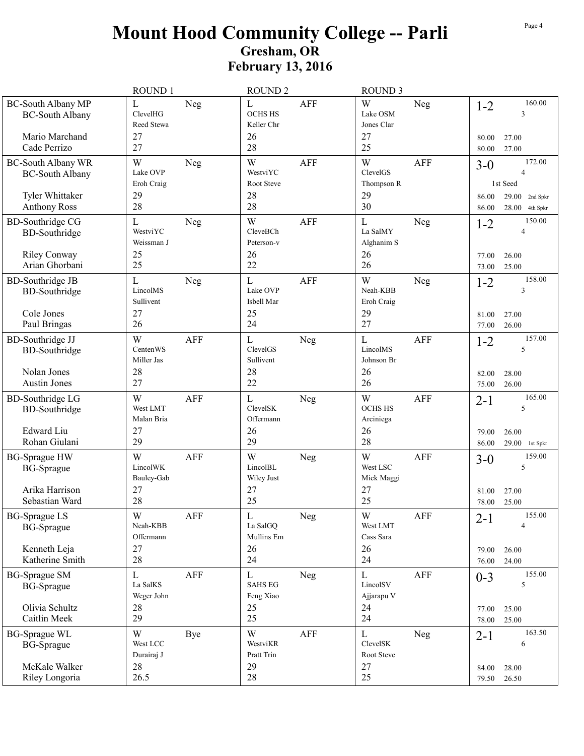|                                                                                               | ROUND 1                                                             | <b>ROUND 2</b>                                                      | <b>ROUND 3</b>                                                   |                                                                                                      |
|-----------------------------------------------------------------------------------------------|---------------------------------------------------------------------|---------------------------------------------------------------------|------------------------------------------------------------------|------------------------------------------------------------------------------------------------------|
| <b>BC-South Albany MP</b><br><b>BC-South Albany</b><br>Mario Marchand<br>Cade Perrizo         | L<br>Neg<br>ClevelHG<br>Reed Stewa<br>27<br>27                      | L<br><b>AFF</b><br><b>OCHS HS</b><br>Keller Chr<br>26<br>28         | W<br>Neg<br>Lake OSM<br>Jones Clar<br>27<br>25                   | 160.00<br>$1 - 2$<br>$\overline{3}$<br>80.00<br>27.00<br>27.00<br>80.00                              |
| <b>BC-South Albany WR</b><br><b>BC-South Albany</b><br>Tyler Whittaker<br><b>Anthony Ross</b> | W<br>Neg<br>Lake OVP<br>Eroh Craig<br>29<br>28                      | W<br><b>AFF</b><br>WestviYC<br>Root Steve<br>28<br>28               | W<br><b>AFF</b><br>ClevelGS<br>Thompson R<br>29<br>30            | 172.00<br>$3-0$<br>$\overline{4}$<br>1st Seed<br>86.00<br>$29.00$ 2nd Spkr                           |
| <b>BD-Southridge CG</b><br><b>BD-Southridge</b><br>Riley Conway<br>Arian Ghorbani             | L<br>Neg<br>WestviYC<br>Weissman J<br>25<br>25                      | W<br><b>AFF</b><br>CleveBCh<br>Peterson-v<br>26<br>22               | $\mathbf{L}$<br><b>Neg</b><br>La SalMY<br>Alghanim S<br>26<br>26 | $28.00$ 4th Spkr<br>86.00<br>150.00<br>$1 - 2$<br>$\overline{4}$<br>26.00<br>77.00<br>25.00<br>73.00 |
| <b>BD-Southridge JB</b><br><b>BD-Southridge</b><br>Cole Jones<br>Paul Bringas                 | $\mathbf{L}$<br>Neg<br>LincolMS<br>Sullivent<br>27<br>26            | $\mathbf{L}$<br><b>AFF</b><br>Lake OVP<br>Isbell Mar<br>25<br>24    | W<br><b>Neg</b><br>Neah-KBB<br>Eroh Craig<br>29<br>27            | 158.00<br>$1 - 2$<br>3<br>27.00<br>81.00<br>77.00<br>26.00                                           |
| <b>BD-Southridge JJ</b><br><b>BD-Southridge</b><br>Nolan Jones<br>Austin Jones                | W<br><b>AFF</b><br>CentenWS<br>Miller Jas<br>28<br>27               | L<br>Neg<br>ClevelGS<br>Sullivent<br>28<br>22                       | $\mathbf L$<br><b>AFF</b><br>LincolMS<br>Johnson Br<br>26<br>26  | 157.00<br>$1 - 2$<br>$\sqrt{5}$<br>82.00<br>28.00<br>75.00<br>26.00                                  |
| <b>BD-Southridge LG</b><br><b>BD-Southridge</b><br>Edward Liu<br>Rohan Giulani                | W<br><b>AFF</b><br>West LMT<br>Malan Bria<br>27<br>29               | $\mathbf{L}$<br>Neg<br>ClevelSK<br>Offermann<br>26<br>29            | W<br><b>AFF</b><br><b>OCHS HS</b><br>Arciniega<br>26<br>28       | 165.00<br>$2 - 1$<br>5<br>79.00<br>26.00<br>$29.00$ 1st Spkr<br>86.00                                |
| <b>BG-Sprague HW</b><br><b>BG-Sprague</b><br>Arika Harrison<br>Sebastian Ward                 | W<br><b>AFF</b><br>LincolWK<br>Bauley-Gab<br>27<br>28               | W<br>Neg<br>LincolBL<br>Wiley Just<br>27<br>25                      | W<br><b>AFF</b><br>West LSC<br>Mick Maggi<br>27<br>25            | 159.00<br>$3-0$<br>5<br>27.00<br>81.00<br>25.00<br>78.00                                             |
| <b>BG-Sprague LS</b><br><b>BG-Sprague</b><br>Kenneth Leja<br>Katherine Smith                  | $\ensuremath{\text{W}}$<br>AFF<br>Neah-KBB<br>Offermann<br>27<br>28 | $\mathbf L$<br>${\hbox{Neg}}$<br>La SalGQ<br>Mullins Em<br>26<br>24 | $\mathbf W$<br>AFF<br>West LMT<br>Cass Sara<br>26<br>24          | 155.00<br>$2 - 1$<br>$\overline{4}$<br>26.00<br>79.00<br>76.00<br>24.00                              |
| <b>BG-Sprague SM</b><br><b>BG-Sprague</b><br>Olivia Schultz<br>Caitlin Meek                   | L<br>AFF<br>La SalKS<br>Weger John<br>28<br>29                      | L<br>Neg<br><b>SAHS EG</b><br>Feng Xiao<br>25<br>25                 | L<br>AFF<br>LincolSV<br>Ajjarapu V<br>24<br>24                   | 155.00<br>$0 - 3$<br>$\sqrt{5}$<br>25.00<br>77.00<br>25.00<br>78.00                                  |
| <b>BG-Sprague WL</b><br><b>BG-Sprague</b><br>McKale Walker<br>Riley Longoria                  | W<br>Bye<br>West LCC<br>Durairaj J<br>28<br>26.5                    | W<br>AFF<br>WestviKR<br>Pratt Trin<br>29<br>28                      | $\mathbf L$<br>Neg<br>ClevelSK<br>Root Steve<br>$27\,$<br>25     | 163.50<br>$2 - 1$<br>6<br>28.00<br>84.00<br>79.50<br>26.50                                           |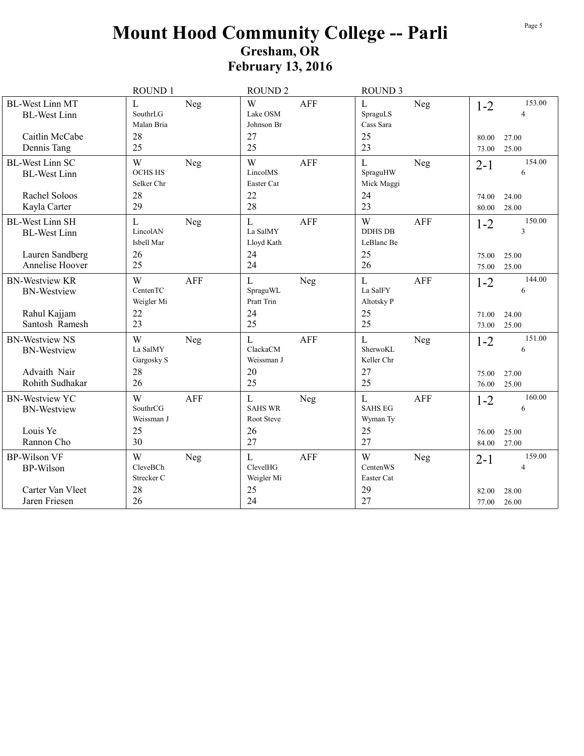|                                                                | <b>ROUND1</b>                                       | <b>ROUND 2</b>                                  | <b>ROUND 3</b>                                           |                                          |
|----------------------------------------------------------------|-----------------------------------------------------|-------------------------------------------------|----------------------------------------------------------|------------------------------------------|
| <b>BL-West Linn MT</b><br><b>BL-West Linn</b>                  | Neg<br>L<br>SouthrLG<br>Malan Bria                  | W<br><b>AFF</b><br>Lake OSM<br>Johnson Br       | $\mathbf{L}$<br>Neg<br>SpraguLS<br>Cass Sara             | 153.00<br>$1 - 2$<br>$\overline{4}$      |
| Caitlin McCabe<br>Dennis Tang                                  | 28<br>25                                            | 27<br>25                                        | 25<br>23                                                 | 27.00<br>80.00<br>25.00<br>73.00         |
| <b>BL-West Linn SC</b><br><b>BL-West Linn</b><br>Rachel Soloos | W<br>Neg<br><b>OCHS HS</b><br>Selker Chr<br>28      | W<br><b>AFF</b><br>LincolMS<br>Easter Cat<br>22 | $\mathbf{L}$<br>Neg<br>SpraguHW<br>Mick Maggi<br>24      | 154.00<br>$2 - 1$<br>6<br>74.00<br>24.00 |
| Kayla Carter                                                   | 29                                                  | 28                                              | 23                                                       | 28.00<br>80.00                           |
| <b>BL-West Linn SH</b><br><b>BL-West Linn</b>                  | $\mathbf{L}$<br>Neg<br>LincolAN<br>Isbell Mar<br>26 | L<br><b>AFF</b><br>La SalMY<br>Lloyd Kath<br>24 | W<br><b>AFF</b><br><b>DDHS DB</b><br>LeBlanc Be<br>25    | 150.00<br>$1 - 2$<br>3                   |
| Lauren Sandberg<br>Annelise Hoover                             | 25                                                  | 24                                              | 26                                                       | 25.00<br>75.00<br>25.00<br>75.00         |
| <b>BN-Westview KR</b><br><b>BN-Westview</b>                    | W<br><b>AFF</b><br>CentenTC<br>Weigler Mi           | $\mathbf{L}$<br>Neg<br>SpraguWL<br>Pratt Trin   | $\mathbf{L}$<br><b>AFF</b><br>La SalFY<br>Altotsky P     | 144.00<br>$1 - 2$<br>6                   |
| Rahul Kajjam<br>Santosh Ramesh                                 | 22<br>23                                            | 24<br>25                                        | 25<br>25                                                 | 71.00<br>24.00<br>25.00<br>73.00         |
| <b>BN-Westview NS</b><br><b>BN-Westview</b>                    | W<br>Neg<br>La SalMY<br>Gargosky S                  | L<br><b>AFF</b><br>ClackaCM<br>Weissman J       | $\mathbf{L}$<br>Neg<br>SherwoKL<br>Keller Chr            | 151.00<br>$1 - 2$<br>6                   |
| Advaith Nair<br>Rohith Sudhakar                                | 28<br>26                                            | 20<br>25                                        | 27<br>25                                                 | 75.00<br>27.00<br>25.00<br>76.00         |
| <b>BN-Westview YC</b><br><b>BN-Westview</b>                    | W<br><b>AFF</b><br>SouthrCG<br>Weissman J           | L<br>Neg<br><b>SAHS WR</b><br>Root Steve        | $\mathbf{L}$<br><b>AFF</b><br><b>SAHS EG</b><br>Wyman Ty | 160.00<br>$1 - 2$<br>6                   |
| Louis Ye<br>Rannon Cho                                         | 25<br>30                                            | 26<br>27                                        | 25<br>27                                                 | 25.00<br>76.00<br>27.00<br>84.00         |
| <b>BP-Wilson VF</b><br><b>BP-Wilson</b>                        | W<br>Neg<br>CleveBCh<br>Strecker <sub>C</sub>       | L<br><b>AFF</b><br>ClevelHG<br>Weigler Mi       | W<br>Neg<br>CentenWS<br>Easter Cat                       | 159.00<br>$2 - 1$<br>$\overline{4}$      |
| Carter Van Vleet<br>Jaren Friesen                              | 28<br>26                                            | 25<br>24                                        | 29<br>27                                                 | 28.00<br>82.00<br>77.00<br>26.00         |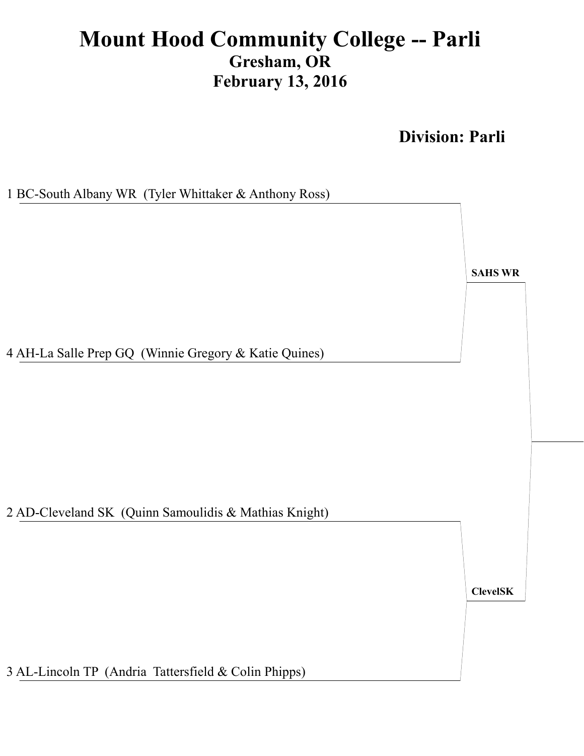**Division: Parli** 

1 BC-South Albany WR (Tyler Whittaker & Anthony Ross) 2 AD-Cleveland SK (Quinn Samoulidis & Mathias Knight) 4 AH-La Salle Prep GQ (Winnie Gregory & Katie Quines) **SAHS WR ClevelSK** 

3 AL-Lincoln TP (Andria Tattersfield & Colin Phipps)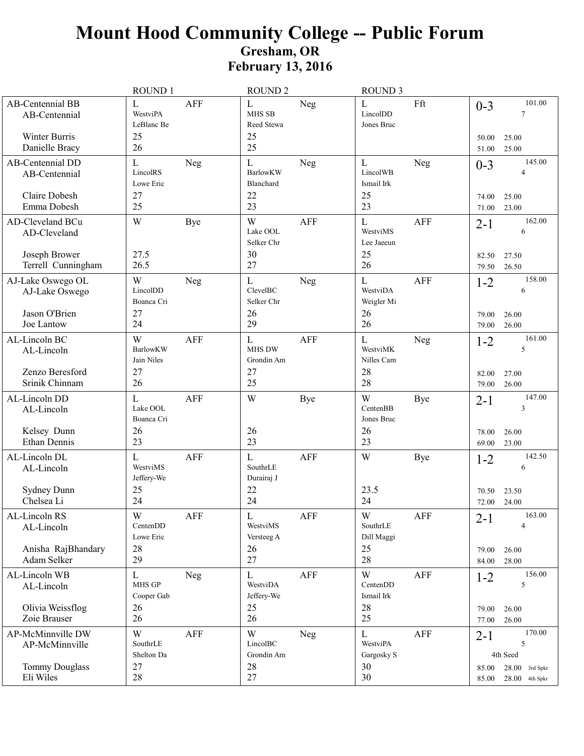|                                                                             | <b>ROUND 1</b>                                        | ROUND <sub>2</sub>                                        | ROUND <sub>3</sub>                                              |                                                            |
|-----------------------------------------------------------------------------|-------------------------------------------------------|-----------------------------------------------------------|-----------------------------------------------------------------|------------------------------------------------------------|
| <b>AB-Centennial BB</b><br>AB-Centennial<br>Winter Burris<br>Danielle Bracy | L<br><b>AFF</b><br>WestviPA<br>LeBlanc Be<br>25<br>26 | L<br>Neg<br><b>MHS SB</b><br>Reed Stewa<br>25<br>25       | $\mathbf{L}$<br>Fft<br>LincolDD<br>Jones Bruc                   | 101.00<br>$0 - 3$<br>7<br>50.00<br>25.00<br>51.00<br>25.00 |
| AB-Centennial DD<br>AB-Centennial                                           | L<br>Neg<br>LincolRS<br>Lowe Eric                     | L<br>Neg<br><b>BarlowKW</b><br>Blanchard                  | $\mathbf{L}$<br>Neg<br>LincolWB<br>Ismail Irk                   | 145.00<br>$0 - 3$<br>$\overline{4}$                        |
| Claire Dobesh<br>Emma Dobesh                                                | 27<br>25                                              | 22<br>23                                                  | 25<br>23                                                        | 25.00<br>74.00<br>23.00<br>71.00                           |
| AD-Cleveland BCu<br>AD-Cleveland                                            | W<br>Bye                                              | W<br><b>AFF</b><br>Lake OOL<br>Selker Chr                 | $\mathbf L$<br><b>AFF</b><br>WestviMS<br>Lee Jaeeun             | 162.00<br>$2 - 1$<br>6                                     |
| Joseph Brower<br>Terrell Cunningham                                         | 27.5<br>26.5                                          | 30<br>27                                                  | 25<br>26                                                        | 27.50<br>82.50<br>26.50<br>79.50                           |
| AJ-Lake Oswego OL<br>AJ-Lake Oswego<br>Jason O'Brien<br>Joe Lantow          | W<br>Neg<br>LincolDD<br>Boanca Cri<br>27<br>24        | $\mathbf{L}$<br>Neg<br>ClevelBC<br>Selker Chr<br>26<br>29 | $\mathbf L$<br><b>AFF</b><br>WestviDA<br>Weigler Mi<br>26<br>26 | 158.00<br>$1 - 2$<br>6<br>79.00<br>26.00<br>79.00<br>26.00 |
| AL-Lincoln BC<br>AL-Lincoln                                                 | W<br><b>AFF</b><br><b>BarlowKW</b><br>Jain Niles      | <b>AFF</b><br>L<br>MHS DW<br>Grondin Am                   | L<br>Neg<br>WestviMK<br>Nilles Cam                              | 161.00<br>$1 - 2$<br>$\sqrt{5}$                            |
| Zenzo Beresford<br>Srinik Chinnam                                           | 27<br>26                                              | 27<br>25                                                  | 28<br>28                                                        | 82.00<br>27.00<br>79.00<br>26.00                           |
| AL-Lincoln DD<br>AL-Lincoln<br>Kelsey Dunn                                  | L<br><b>AFF</b><br>Lake OOL<br>Boanca Cri<br>26       | W<br>Bye<br>26                                            | W<br>Bye<br>CentenBB<br>Jones Bruc<br>26                        | 147.00<br>$2 - 1$<br>3<br>78.00<br>26.00                   |
| <b>Ethan Dennis</b><br>AL-Lincoln DL                                        | 23<br><b>AFF</b><br>$\mathbf{L}$                      | 23<br><b>AFF</b><br>L                                     | 23<br>W<br>Bye                                                  | 23.00<br>69.00<br>142.50                                   |
| AL-Lincoln<br><b>Sydney Dunn</b>                                            | WestviMS<br>Jeffery-We<br>25                          | SouthrLE<br>Durairaj J<br>22                              | 23.5                                                            | $1 - 2$<br>6                                               |
| Chelsea Li                                                                  | 24                                                    | 24                                                        | 24                                                              | 70.50<br>23.50<br>72.00<br>24.00                           |
| AL-Lincoln RS<br>AL-Lincoln                                                 | W<br>${\sf AFF}$<br>CentenDD<br>Lowe Eric             | $\mathbf L$<br>${\sf AFF}$<br>WestviMS<br>Versteeg A      | $\mathbf W$<br>${\sf AFF}$<br>SouthrLE<br>Dill Maggi            | 163.00<br>$2 - 1$<br>4                                     |
| Anisha RajBhandary<br>Adam Selker                                           | 28<br>29                                              | 26<br>27                                                  | 25<br>28                                                        | 26.00<br>79.00<br>84.00<br>28.00                           |
| AL-Lincoln WB<br>AL-Lincoln                                                 | $\mathbf L$<br>Neg<br>MHS GP<br>Cooper Gab            | $\mathbf L$<br>AFF<br>WestviDA<br>Jeffery-We              | W<br>AFF<br>CentenDD<br>Ismail Irk                              | 156.00<br>$1 - 2$<br>5                                     |
| Olivia Weissflog<br>Zoie Brauser                                            | 26<br>26                                              | 25<br>26                                                  | 28<br>25                                                        | 26.00<br>79.00<br>26.00<br>77.00                           |
| AP-McMinnville DW<br>AP-McMinnville                                         | W<br>AFF<br>SouthrLE<br>Shelton Da                    | W<br>Neg<br>LincolBC<br>Grondin Am                        | $\mathbf L$<br>AFF<br>WestviPA<br>Gargosky S                    | 170.00<br>$2 - 1$<br>5<br>4th Seed                         |
| <b>Tommy Douglass</b><br>Eli Wiles                                          | 27<br>28                                              | 28<br>27                                                  | 30<br>30                                                        | $28.00$ 3rd Spkr<br>85.00<br>$28.00$ 4th Spkr<br>85.00     |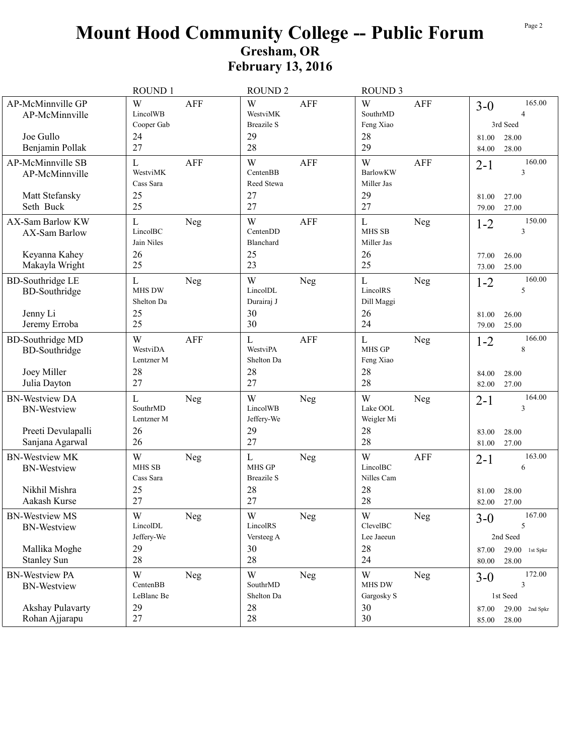|                                                                                      | <b>ROUND 1</b>                                                      | <b>ROUND 2</b>                                                       | <b>ROUND 3</b>                                                      |                                                                                                |
|--------------------------------------------------------------------------------------|---------------------------------------------------------------------|----------------------------------------------------------------------|---------------------------------------------------------------------|------------------------------------------------------------------------------------------------|
| AP-McMinnville GP<br>AP-McMinnville<br>Joe Gullo<br>Benjamin Pollak                  | W<br><b>AFF</b><br>LincolWB<br>Cooper Gab<br>24<br>27               | W<br><b>AFF</b><br>WestviMK<br><b>Breazile S</b><br>29<br>28         | W<br>AFF<br>SouthrMD<br>Feng Xiao<br>28<br>29                       | 165.00<br>$3-0$<br>$\overline{4}$<br>3rd Seed<br>28.00<br>81.00<br>28.00<br>84.00              |
| AP-McMinnville SB<br>AP-McMinnville<br>Matt Stefansky<br>Seth Buck                   | $\mathbf L$<br><b>AFF</b><br>WestviMK<br>Cass Sara<br>25<br>25      | W<br>AFF<br>CentenBB<br>Reed Stewa<br>27<br>27                       | W<br><b>AFF</b><br><b>BarlowKW</b><br>Miller Jas<br>29<br>27        | 160.00<br>$2 - 1$<br>3<br>27.00<br>81.00<br>27.00<br>79.00                                     |
| AX-Sam Barlow KW<br>AX-Sam Barlow<br>Keyanna Kahey<br>Makayla Wright                 | L<br>Neg<br>LincolBC<br>Jain Niles<br>26<br>25                      | W<br>AFF<br>CentenDD<br>Blanchard<br>25<br>23                        | L<br><b>Neg</b><br>MHS SB<br>Miller Jas<br>26<br>25                 | 150.00<br>$1 - 2$<br>3<br>26.00<br>77.00<br>25.00<br>73.00                                     |
| <b>BD-Southridge LE</b><br><b>BD-Southridge</b><br>Jenny Li<br>Jeremy Erroba         | L<br>Neg<br><b>MHS DW</b><br>Shelton Da<br>25<br>25                 | W<br>Neg<br>LincolDL<br>Durairaj J<br>30<br>30                       | $\mathbf L$<br><b>Neg</b><br>LincolRS<br>Dill Maggi<br>26<br>24     | 160.00<br>$1 - 2$<br>5<br>81.00<br>26.00<br>79.00<br>25.00                                     |
| <b>BD-Southridge MD</b><br><b>BD-Southridge</b><br>Joey Miller<br>Julia Dayton       | W<br><b>AFF</b><br>WestviDA<br>Lentzner M<br>28<br>27               | $\mathbf{L}$<br><b>AFF</b><br>WestviPA<br>Shelton Da<br>28<br>27     | L<br><b>Neg</b><br>MHS GP<br>Feng Xiao<br>28<br>28                  | 166.00<br>$1 - 2$<br>$\,$ 8 $\,$<br>84.00<br>28.00<br>82.00<br>27.00                           |
| <b>BN-Westview DA</b><br><b>BN-Westview</b><br>Preeti Devulapalli<br>Sanjana Agarwal | $\mathbf L$<br>Neg<br>SouthrMD<br>Lentzner M<br>26<br>26            | W<br>Neg<br>LincolWB<br>Jeffery-We<br>29<br>27                       | W<br>Neg<br>Lake OOL<br>Weigler Mi<br>28<br>28                      | 164.00<br>$2 - 1$<br>3<br>83.00<br>28.00<br>27.00<br>81.00                                     |
| <b>BN-Westview MK</b><br><b>BN-Westview</b><br>Nikhil Mishra<br>Aakash Kurse         | W<br>Neg<br><b>MHS SB</b><br>Cass Sara<br>25<br>27                  | L<br>Neg<br><b>MHS GP</b><br><b>Breazile S</b><br>28<br>27           | W<br><b>AFF</b><br>LincolBC<br>Nilles Cam<br>28<br>28               | 163.00<br>$2 - 1$<br>6<br>28.00<br>81.00<br>27.00<br>82.00                                     |
| <b>BN-Westview MS</b><br><b>BN-Westview</b><br>Mallika Moghe<br><b>Stanley Sun</b>   | $\mathbf W$<br>${\hbox{Neg}}$<br>LincolDL<br>Jeffery-We<br>29<br>28 | $\ensuremath{\text{W}}$<br>Neg<br>LincolRS<br>Versteeg A<br>30<br>28 | $\mathbf W$<br>${\hbox{Neg}}$<br>ClevelBC<br>Lee Jaeeun<br>28<br>24 | 167.00<br>$3-0$<br>5<br>2nd Seed<br>87.00<br>$29.00$ 1st Spkr<br>80.00<br>28.00                |
| <b>BN-Westview PA</b><br><b>BN-Westview</b><br>Akshay Pulavarty<br>Rohan Ajjarapu    | W<br>Neg<br>CentenBB<br>LeBlanc Be<br>29<br>27                      | W<br>Neg<br>SouthrMD<br>Shelton Da<br>$28\,$<br>28                   | W<br>Neg<br>MHS DW<br>Gargosky S<br>30<br>30                        | 172.00<br>$3 - 0$<br>$\overline{3}$<br>1st Seed<br>87.00<br>$29.00$ 2nd Spkr<br>85.00<br>28.00 |